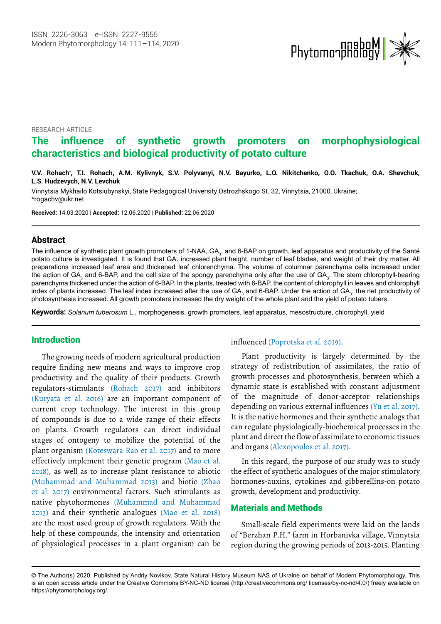

RESEARCH ARTICLE

# **The influence of synthetic growth promoters on morphophysiological characteristics and biological productivity of potato culture**

**V.V. Rohach\* , T.I. Rohach, A.M. Kylivnyk, S.V. Polyvanyi, N.V. Bayurko, L.O. Nikitchenko, O.O. Tkachuk, O.A. Shevchuk, L.S. Hudzevych, N.V. Levchuk <sup>1</sup>**

Vinnytsia Mykhailo Kotsiubynskyi, State Pedagogical University Ostrozhskogo St. 32, Vinnytsia, 21000, Ukraine; [\\*rogachv@ukr.net](E:\Tushar Journals\MP\MP-Vol14.2\MP-Vol14-2_W\mp-20-8259-1602155886 Q1 APP.docx\rogachv@ukr.net)

**Received:** 14.03.2020 | **Accepted:** 12.06.2020 | **Published:** 22.06.2020

### **Abstract**

The influence of synthetic plant growth promoters of 1-NAA, GA<sub>3</sub>, and 6-BAP on growth, leaf apparatus and productivity of the Santé potato culture is investigated. It is found that GA<sub>3</sub> increased plant height, number of leaf blades, and weight of their dry matter. All preparations increased leaf area and thickened leaf chlorenchyma. The volume of columnar parenchyma cells increased under the action of GA<sub>3</sub> and 6-BAP, and the cell size of the spongy parenchyma only after the use of GA<sub>3</sub>. The stem chlorophyll-bearing parenchyma thickened under the action of 6-BAP. In the plants, treated with 6-BAP, the content of chlorophyll in leaves and chlorophyll index of plants increased. The leaf index increased after the use of GA<sub>3</sub> and 6-BAP. Under the action of GA<sub>3</sub>, the net productivity of photosynthesis increased. All growth promoters increased the dry weight of the whole plant and the yield of potato tubers.

**Keywords:** *Solanum tuberosum* L., morphogenesis, growth promoters, leaf apparatus, mesostructure, chlorophyll, yield

#### **Introduction**

The growing needs of modern agricultural production require finding new means and ways to improve crop productivity and the quality of their products. Growth regulators-stimulants (Rohach 2017) and inhibitors (Kuryata et al. 2016) are an important component of current crop technology. The interest in this group of compounds is due to a wide range of their effects on plants. Growth regulators can direct individual stages of ontogeny to mobilize the potential of the plant organism (Koteswara Rao et al. 2017) and to more effectively implement their genetic program (Mao et al. 2018), as well as to increase plant resistance to abiotic (Muhammad and Muhammad 2013) and biotic (Zhao et al. 2017) environmental factors. Such stimulants as native phytohormones (Muhammad and Muhammad 2013) and their synthetic analogues (Mao et al. 2018) are the most used group of growth regulators. With the help of these compounds, the intensity and orientation of physiological processes in a plant organism can be

influenced (Poprotska et al. 2019).

Plant productivity is largely determined by the strategy of redistribution of assimilates, the ratio of growth processes and photosynthesis, between which a dynamic state is established with constant adjustment of the magnitude of donor-acceptor relationships depending on various external influences (Yu et al. 2017). It is the native hormones and their synthetic analogs that can regulate physiologically-biochemical processes in the plant and direct the flow of assimilate to economic tissues and organs (Alexopoulos et al. 2017).

In this regard, the purpose of our study was to study the effect of synthetic analogues of the major stimulatory hormones-auxins, cytokines and gibberellins-on potato growth, development and productivity.

# Materials and Methods

Small-scale field experiments were laid on the lands of "Berzhan P.H." farm in Horbanivka village, Vinnytsia region during the growing periods of 2013-2015. Planting

<sup>©</sup> The Author(s) 2020. Published by Andriy Novikov, State Natural History Museum NAS of Ukraine on behalf of Modern Phytomorphology. This is an open access article under the Creative Commons BY-NC-ND license (http://creativecommons.org/ licenses/by-nc-nd/4.0/) freely available on https://phytomorphology.org/.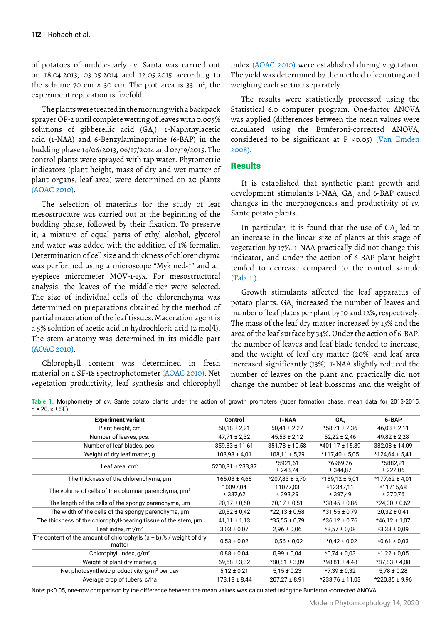of potatoes of middle-early cv. Santa was carried out on 18.04.2013, 03.05.2014 and 12.05.2015 according to the scheme 70 cm  $\times$  30 cm. The plot area is 33 m<sup>2</sup>, the experiment replication is fivefold.

The plants were treated in the morning with a backpack sprayer OP-2 until complete wetting of leaves with 0.005% solutions of gibberellic acid (GA<sub>3</sub>), 1-Naphthylacetic acid (1-NAA) and 6-Benzylaminopurine (6-BAP) in the budding phase 14/06/2013, 06/17/2014 and 06/19/2015. The control plants were sprayed with tap water. Phytometric indicators (plant height, mass of dry and wet matter of plant organs, leaf area) were determined on 20 plants (AOAC 2010).

The selection of materials for the study of leaf mesostructure was carried out at the beginning of the budding phase, followed by their fixation. To preserve it, a mixture of equal parts of ethyl alcohol, glycerol and water was added with the addition of 1% formalin. Determination of cell size and thickness of chlorenchyma was performed using a microscope "Mykmed-1" and an eyepiece micrometer MOV-1-15x. For mesostructural analysis, the leaves of the middle-tier were selected. The size of individual cells of the chlorenchyma was determined on preparations obtained by the method of partial maceration of the leaf tissues. Maceration agent is a 5% solution of acetic acid in hydrochloric acid (2 mol/l). The stem anatomy was determined in its middle part (AOAC 2010).

Chlorophyll content was determined in fresh material on a SF-18 spectrophotometer (AOAC 2010). Net vegetation productivity, leaf synthesis and chlorophyll index (AOAC 2010) were established during vegetation. The yield was determined by the method of counting and weighing each section separately.

The results were statistically processed using the Statistical 6.0 computer program. One-factor ANOVA was applied (differences between the mean values were calculated using the Bunferoni-corrected ANOVA, considered to be significant at  $P \le 0.05$ ) (Van Emden 2008).

# **Results**

It is established that synthetic plant growth and development stimulants 1-NAA, GA<sub>3</sub> and 6-BAP caused changes in the morphogenesis and productivity of *cv.* Sante potato plants.

In particular, it is found that the use of  $GA_{\frac{1}{3}}$  led to an increase in the linear size of plants at this stage of vegetation by 17%. 1-NAA practically did not change this indicator, and under the action of 6-BAP plant height tended to decrease compared to the control sample (Tab. 1.).

Growth stimulants affected the leaf apparatus of potato plants.  $\text{GA}_{\text{\tiny{j}}}$  increased the number of leaves and number of leaf plates per plant by 10 and 12%, respectively. The mass of the leaf dry matter increased by 13% and the area of the leaf surface by 34%. Under the action of 6-BAP, the number of leaves and leaf blade tended to increase, and the weight of leaf dry matter (20%) and leaf area increased significantly (13%). 1-NAA slightly reduced the number of leaves on the plant and practically did not change the number of leaf blossoms and the weight of

**Table 1.** Morphometry of *cv.* Sante potato plants under the action of growth promoters (tuber formation phase, mean data for 2013-2015,  $n = 20$ ,  $x \pm SE$ ).

| <b>Experiment variant</b>                                                        | Control              | 1-NAA                | GA.                   | 6-BAP                 |
|----------------------------------------------------------------------------------|----------------------|----------------------|-----------------------|-----------------------|
| Plant height, cm                                                                 | $50,18 \pm 2,21$     | $50,41 \pm 2,27$     | $*58,71 \pm 2,36$     | $46,03 \pm 2,11$      |
| Number of leaves, pcs.                                                           | $47,71 \pm 2,32$     | $45,53 \pm 2,12$     | $52,22 \pm 2,46$      | $49,82 \pm 2,28$      |
| Number of leaf blades, pcs.                                                      | $359.33 \pm 11.61$   | $351,78 \pm 10,58$   | $*401,17 \pm 15,89$   | 382,08 ± 14,09        |
| Weight of dry leaf matter, g                                                     | $103,93 \pm 4,01$    | $108,11 \pm 5,29$    | $*117,40 \pm 5.05$    | $*124,64 \pm 5,41$    |
| Leaf area, $cm2$                                                                 | 5200,31 ± 233,37     | *5921,61<br>± 248,74 | *6969.26<br>± 344,87  | *5882.21<br>± 222,06  |
| The thickness of the chlorenchyma, um                                            | $165,03 \pm 4,68$    | $*207,83 \pm 5,70$   | $*189,12 \pm 5,01$    | $*177,62 \pm 4,01$    |
| The volume of cells of the columnar parenchyma, µm <sup>3</sup>                  | 10097,04<br>± 337,62 | 11077,03<br>± 393,29 | *12347,11<br>± 397,49 | *11715,68<br>± 370,76 |
| The length of the cells of the spongy parenchyma, um                             | $20,17 \pm 0,50$     | $20,17 \pm 0,51$     | $*38,45 \pm 0,86$     | $*24,00 \pm 0,62$     |
| The width of the cells of the spongy parenchyma, um                              | $20,52 \pm 0,42$     | $*22,13 \pm 0,58$    | $*31,55 \pm 0.79$     | $20,32 \pm 0,41$      |
| The thickness of the chlorophyll-bearing tissue of the stem, um                  | $41,11 \pm 1,13$     | $*35,55 \pm 0.79$    | $*36,12 \pm 0.76$     | $*46,12 \pm 1,07$     |
| Leaf index, $m^2/m^2$                                                            | $3.03 \pm 0.07$      | $2,96 \pm 0,06$      | $*3.57 \pm 0.08$      | $*3,38 \pm 0,09$      |
| The content of the amount of chlorophylls $(a + b)$ ,% / weight of dry<br>matter | $0.53 \pm 0.02$      | $0.56 \pm 0.02$      | $*0.42 \pm 0.02$      | $*0.61 \pm 0.03$      |
| Chlorophyll index, $g/m^2$                                                       | $0,88 \pm 0,04$      | $0.99 \pm 0.04$      | $*0.74 \pm 0.03$      | $*1,22 \pm 0,05$      |
| Weight of plant dry matter, g                                                    | $69,58 \pm 3,32$     | *80,81 ± 3,89        | $*98,81 \pm 4,48$     | $*87,83 \pm 4,08$     |
| Net photosynthetic productivity, $g/m^2$ per day                                 | $5.12 \pm 0.21$      | $5.15 \pm 0.23$      | $*7,39 \pm 0,32$      | $5.78 \pm 0.28$       |
| Average crop of tubers, c/ha                                                     | $173.18 \pm 8.44$    | $207,27 \pm 8,91$    | $*233.76 \pm 11.03$   | $*220.85 \pm 9.96$    |
|                                                                                  |                      |                      |                       |                       |

Note: p<0.05, one-row comparison by the difference between the mean values was calculated using the Bunferoni-corrected ANOVA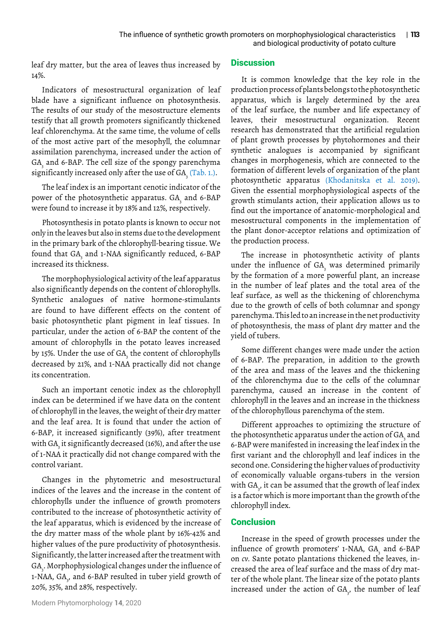leaf dry matter, but the area of leaves thus increased by 14%.

Indicators of mesostructural organization of leaf blade have a significant influence on photosynthesis. The results of our study of the mesostructure elements testify that all growth promoters significantly thickened leaf chlorenchyma. At the same time, the volume of cells of the most active part of the mesophyll, the columnar assimilation parenchyma, increased under the action of GA $_{\tiny{\text{s}}}$  and 6-BAP. The cell size of the spongy parenchyma significantly increased only after the use of  $GA_{3}$  (Tab. 1.).

The leaf index is an important cenotic indicator of the power of the photosynthetic apparatus. GA $_{\tiny 3}$  and 6-BAP were found to increase it by 18% and 12%, respectively.

Photosynthesis in potato plants is known to occur not only in the leaves but also in stems due to the development in the primary bark of the chlorophyll-bearing tissue. We found that GA<sub>3</sub> and 1-NAA significantly reduced, 6-BAP increased its thickness.

The morphophysiological activity of the leaf apparatus also significantly depends on the content of chlorophylls. Synthetic analogues of native hormone-stimulants are found to have different effects on the content of basic photosynthetic plant pigment in leaf tissues. In particular, under the action of 6-BAP the content of the amount of chlorophylls in the potato leaves increased by 15%. Under the use of GA $_{\tiny{3}}$  the content of chlorophylls decreased by 21%, and 1-NAA practically did not change its concentration.

Such an important cenotic index as the chlorophyll index can be determined if we have data on the content of chlorophyll in the leaves, the weight of their dry matter and the leaf area. It is found that under the action of 6-BAP, it increased significantly (39%), after treatment with GA<sub>3</sub> it significantly decreased (16%), and after the use of 1-NAA it practically did not change compared with the control variant.

Changes in the phytometric and mesostructural indices of the leaves and the increase in the content of chlorophylls under the influence of growth promoters contributed to the increase of photosynthetic activity of the leaf apparatus, which is evidenced by the increase of the dry matter mass of the whole plant by 16%-42% and higher values of the pure productivity of photosynthesis. Significantly, the latter increased after the treatment with GA $_{\textrm{\tiny{\textrm{3}}}}$ . Morphophysiological changes under the influence of 1-NAA, GA<sub>3</sub>, and 6-BAP resulted in tuber yield growth of 20%, 35%, and 28%, respectively.

## **Discussion**

It is common knowledge that the key role in the production process of plants belongs to the photosynthetic apparatus, which is largely determined by the area of the leaf surface, the number and life expectancy of leaves, their mesostructural organization. Recent research has demonstrated that the artificial regulation of plant growth processes by phytohormones and their synthetic analogues is accompanied by significant changes in morphogenesis, which are connected to the formation of different levels of organization of the plant photosynthetic apparatus (Khodanitska et al. 2019). Given the essential morphophysiological aspects of the growth stimulants action, their application allows us to find out the importance of anatomic-morphological and mesostructural components in the implementation of the plant donor-acceptor relations and optimization of the production process.

The increase in photosynthetic activity of plants under the influence of GA $_{\rm_3}$  was determined primarily by the formation of a more powerful plant, an increase in the number of leaf plates and the total area of the leaf surface, as well as the thickening of chlorenchyma due to the growth of cells of both columnar and spongy parenchyma. This led to an increase in the net productivity of photosynthesis, the mass of plant dry matter and the yield of tubers.

Some different changes were made under the action of 6-BAP. The preparation, in addition to the growth of the area and mass of the leaves and the thickening of the chlorenchyma due to the cells of the columnar parenchyma, caused an increase in the content of chlorophyll in the leaves and an increase in the thickness of the chlorophyllous parenchyma of the stem.

Different approaches to optimizing the structure of the photosynthetic apparatus under the action of GA $_{\textrm{\tiny{\textrm{3}}}}$  and 6-BAP were manifested in increasing the leaf index in the first variant and the chlorophyll and leaf indices in the second one. Considering the higher values of productivity of economically valuable organs-tubers in the version with GA $_{_{3}}$ , it can be assumed that the growth of leaf index is a factor which is more important than the growth of the chlorophyll index.

# **Conclusion**

Increase in the speed of growth processes under the influence of growth promoters' 1-NAA, GA<sub>3</sub> and 6-BAP on *cv.* Sante potato plantations thickened the leaves, increased the area of leaf surface and the mass of dry matter of the whole plant. The linear size of the potato plants increased under the action of  $GA_{j}$ , the number of leaf